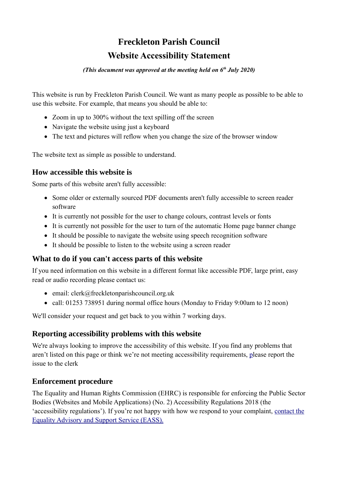## **Freckleton Parish Council Website Accessibility Statement**

#### *(This document was approved at the meeting held on 6th July 2020)*

This website is run by Freckleton Parish Council. We want as many people as possible to be able to use this website. For example, that means you should be able to:

- Zoom in up to 300% without the text spilling off the screen
- Navigate the website using just a keyboard
- The text and pictures will reflow when you change the size of the browser window

The website text as simple as possible to understand.

#### **How accessible this website is**

Some parts of this website aren't fully accessible:

- Some older or externally sourced PDF documents aren't fully accessible to screen reader software
- It is currently not possible for the user to change colours, contrast levels or fonts
- It is currently not possible for the user to turn of the automatic Home page banner change
- It should be possible to navigate the website using speech recognition software
- It should be possible to listen to the website using a screen reader

#### **What to do if you can't access parts of this website**

If you need information on this website in a different format like accessible PDF, large print, easy read or audio recording please contact us:

- $\bullet$  email: clerk@freckletonparishcouncil.org.uk
- call: 01253 738951 during normal office hours (Monday to Friday 9:00am to 12 noon)

We'll consider your request and get back to you within 7 working days.

#### **Reporting accessibility problems with this website**

We're always looking to improve the accessibility of this website. If you find any problems that aren't listed on this page or think we're not meeting accessibility requirements, [p](https://www.buckingham-tc.gov.uk/help/)lease report the issue to the clerk

#### **Enforcement procedure**

The Equality and Human Rights Commission (EHRC) is responsible for enforcing the Public Sector Bodies (Websites and Mobile Applications) (No. 2) Accessibility Regulations 2018 (the 'accessibility regulations'). If you're not happy with how we respond to your complaint, [contact the](https://www.equalityadvisoryservice.com/) [Equality Advisory and Support Service \(EASS\).](https://www.equalityadvisoryservice.com/)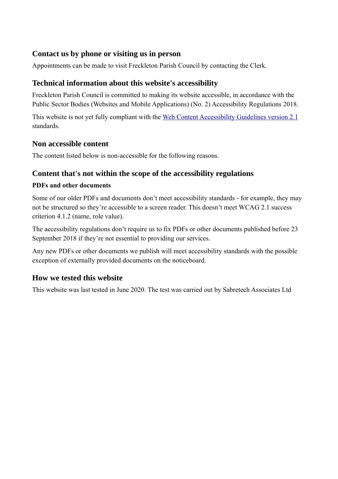#### **Contact us by phone or visiting us in person**

Appointments can be made to visit Freckleton Parish Council by contacting the Clerk.

#### **Technical information about this website's accessibility**

Freckleton Parish Council is committed to making its website accessible, in accordance with the Public Sector Bodies (Websites and Mobile Applications) (No. 2) Accessibility Regulations 2018.

This website is not yet fully compliant with the [Web Content Accessibility Guidelines version 2.1](https://www.w3.org/TR/WCAG21/) standards.

### **Non accessible content**

The content listed below is non-accessible for the following reasons.

### **Content that's not within the scope of the accessibility regulations**

#### **PDFs and other documents**

Some of our older PDFs and documents don't meet accessibility standards - for example, they may not be structured so they're accessible to a screen reader. This doesn't meet WCAG 2.1 success criterion 4.1.2 (name, role value).

The accessibility regulations don't require us to fix PDFs or other documents published before 23 September 2018 if they're not essential to providing our services.

Any new PDFs or other documents we publish will meet accessibility standards with the possible exception of externally provided documents on the noticeboard.

#### **How we tested this website**

This website was last tested in June 2020. The test was carried out by Sabretech Associates Ltd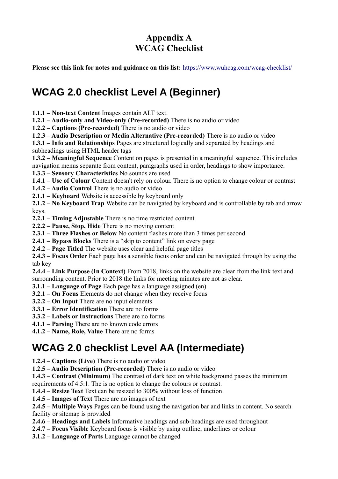## **Appendix A WCAG Checklist**

**Please see this link for notes and guidance on this list:** <https://www.wuhcag.com/wcag-checklist/>

# **WCAG 2.0 checklist Level A (Beginner)**

- **1.1.1 Non-text Content** Images contain ALT text.
- **1.2.1 Audio-only and Video-only (Pre-recorded)** There is no audio or video

**1.2.2 – Captions (Pre-recorded)** There is no audio or video

**1.2.3 – Audio Description or Media Alternative (Pre-recorded)** There is no audio or video

**1.3.1 – Info and Relationships** Pages are structured logically and separated by headings and subheadings using HTML header tags

- **1.3.2 Meaningful Sequence** Content on pages is presented in a meaningful sequence. This includes navigation menus separate from content, paragraphs used in order, headings to show importance.
- **1.3.3 Sensory Characteristics** No sounds are used

**1.4.1 – Use of Colour** Content doesn't rely on colour. There is no option to change colour or contrast

**1.4.2 – Audio Control** There is no audio or video

**2.1.1 – Keyboard** Website is accessible by keyboard only

**2.1.2 – No Keyboard Trap** Website can be navigated by keyboard and is controllable by tab and arrow keys.

- **2.2.1 Timing Adjustable** There is no time restricted content
- **2.2.2 Pause, Stop, Hide** There is no moving content
- **2.3.1 Three Flashes or Below** No content flashes more than 3 times per second
- **2.4.1 Bypass Blocks** There is a "skip to content" link on every page
- **2.4.2 Page Titled** The website uses clear and helpful page titles

**2.4.3 – Focus Order** Each page has a sensible focus order and can be navigated through by using the tab key

**2.4.4 – Link Purpose (In Context)** From 2018, links on the website are clear from the link text and surrounding content. Prior to 2018 the links for meeting minutes are not as clear.

**3.1.1 – Language of Page** Each page has a language assigned (en)

**3.2.1 – On Focus** Elements do not change when they receive focus

- **3.2.2 On Input** There are no input elements
- **3.3.1 Error Identification** There are no forms
- **3.3.2 Labels or Instructions** There are no forms
- **4.1.1 Parsing** There are no known code errors
- **4.1.2 Name, Role, Value** There are no forms

# **WCAG 2.0 checklist Level AA (Intermediate)**

**1.2.4 – Captions (Live)** There is no audio or video

**1.2.5 – Audio Description (Pre-recorded)** There is no audio or video

**1.4.3 – Contrast (Minimum)** The contrast of dark text on white background passes the minimum requirements of 4.5:1. The is no option to change the colours or contrast.

**1.4.4 – Resize Text** Text can be resized to 300% without loss of function

**1.4.5 – Images of Text** There are no images of text

**2.4.5 – Multiple Ways** Pages can be found using the navigation bar and links in content. No search facility or sitemap is provided

- **2.4.6 Headings and Labels** Informative headings and sub-headings are used throughout
- **2.4.7 Focus Visible** Keyboard focus is visible by using outline, underlines or colour
- **3.1.2 Language of Parts** Language cannot be changed